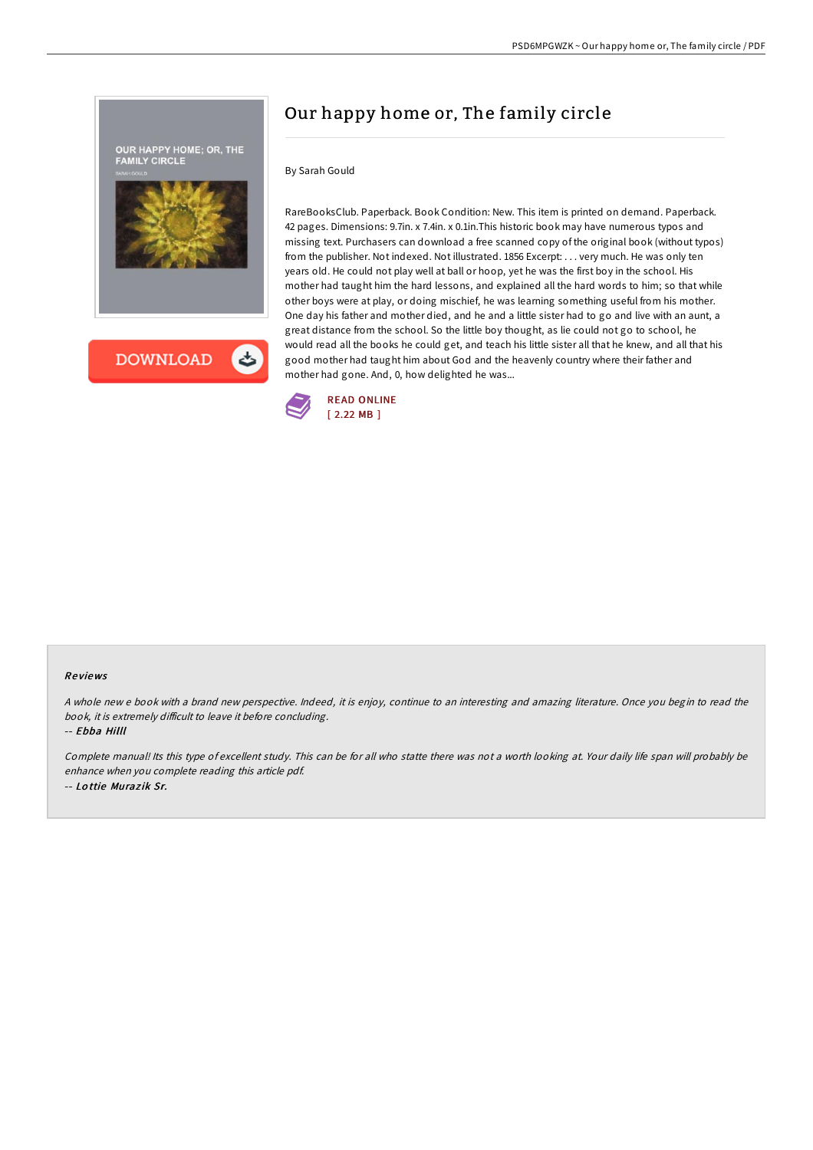



### By Sarah Gould

RareBooksClub. Paperback. Book Condition: New. This item is printed on demand. Paperback. 42 pages. Dimensions: 9.7in. x 7.4in. x 0.1in.This historic book may have numerous typos and missing text. Purchasers can download a free scanned copy of the original book (without typos) from the publisher. Not indexed. Not illustrated. 1856 Excerpt: . . . very much. He was only ten years old. He could not play well at ball or hoop, yet he was the first boy in the school. His mother had taught him the hard lessons, and explained all the hard words to him; so that while other boys were at play, or doing mischief, he was learning something useful from his mother. One day his father and mother died, and he and a little sister had to go and live with an aunt, a great distance from the school. So the little boy thought, as lie could not go to school, he would read all the books he could get, and teach his little sister all that he knew, and all that his good mother had taught him about God and the heavenly country where their father and mother had gone. And, 0, how delighted he was...



### Re views

A whole new <sup>e</sup> book with <sup>a</sup> brand new perspective. Indeed, it is enjoy, continue to an interesting and amazing literature. Once you begin to read the book, it is extremely difficult to leave it before concluding.

-- Ebba Hilll

Complete manual! Its this type of excellent study. This can be for all who statte there was not <sup>a</sup> worth looking at. Your daily life span will probably be enhance when you complete reading this article pdf. -- Lottie Murazik Sr.